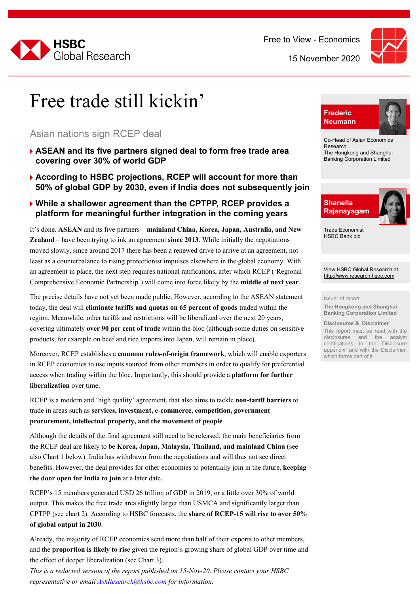



### Free trade still kickin'

#### Asian nations sign RCEP deal

- 4**ASEAN and its five partners signed deal to form free trade area covering over 30% of world GDP**
- **▶ According to HSBC projections, RCEP will account for more than 50% of global GDP by 2030, even if India does not subsequently join**

#### 4**While a shallower agreement than the CPTPP, RCEP provides a platform for meaningful further integration in the coming years**

It's done. **ASEAN** and its five partners – **mainland China, Korea, Japan, Australia, and New Zealand** – have been trying to ink an agreement **since 2013**. While initially the negotiations moved slowly, since around 2017 there has been a renewed drive to arrive at an agreement, not least as a counterbalance to rising protectionist impulses elsewhere in the global economy. With an agreement in place, the next step requires national ratifications, after which RCEP ('Regional Comprehensive Economic Partnership') will come into force likely by the **middle of next year**.

The precise details have not yet been made public. However, according to the ASEAN statement today, the deal will **eliminate tariffs and quotas on 65 percent of goods** traded within the region. Meanwhile, other tariffs and restrictions will be liberalized over the next 20 years, covering ultimately **over 90 per cent of trade** within the bloc (although some duties on sensitive products, for example on beef and rice imports into Japan, will remain in place).

Moreover, RCEP establishes a **common rules-of-origin framework**, which will enable exporters in RCEP economies to use inputs sourced from other members in order to qualify for preferential access when trading within the bloc. Importantly, this should provide a **platform for further liberalization** over time.

RCEP is a modern and 'high quality' agreement, that also aims to tackle **non-tariff barriers** to trade in areas such as **services, investment, e-commerce, competition, government procurement, intellectual property, and the movement of people**.

Although the details of the final agreement still need to be released, the main beneficiaries from the RCEP deal are likely to be **Korea, Japan, Malaysia, Thailand, and mainland China** (see also Chart 1 below). India has withdrawn from the negotiations and will thus not see direct benefits. However, the deal provides for other economies to potentially join in the future, **keeping the door open for India to join** at a later date.

RCEP's 15 members generated USD 26 trillion of GDP in 2019, or a little over 30% of world output. This makes the free trade area slightly larger than USMCA and significantly larger than CPTPP (see chart 2). According to HSBC forecasts, the **share of RCEP-15 will rise to over 50% of global output in 2030**.

Already, the majority of RCEP economies send more than half of their exports to other members, and the **proportion is likely to rise** given the region's growing share of global GDP over time and the effect of deeper liberalization (see Chart 3).

*This is a redacted version of the report published on 15-Nov-20. Please contact your HSBC representative or email AskResearch@hsbc.com for information.*



Co-Head of Asian Economics Research The Hongkong and Shanghai Banking Corporation Limited



Trade Economist HSBC Bank plc

View HSBC Global Research at: <http://www.research.hsbc.com>

#### Issuer of report

**The Hongkong and Shanghai Banking Corporation Limited**

**Disclosures & Disclaimer**

This report must be read with the disclosures and the analyst certifications in the Disclosure appendix, and with the Disclaimer, which forms part of it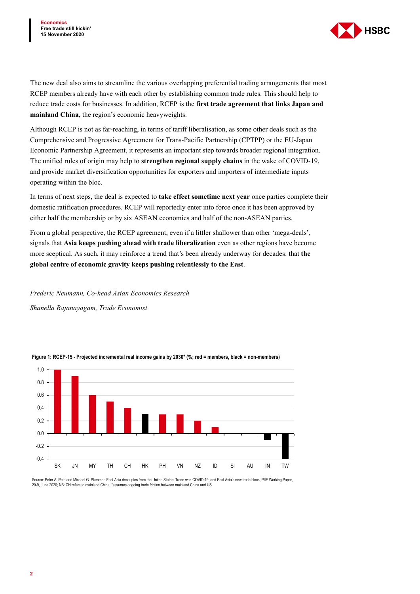

The new deal also aims to streamline the various overlapping preferential trading arrangements that most RCEP members already have with each other by establishing common trade rules. This should help to reduce trade costs for businesses. In addition, RCEP is the **first trade agreement that links Japan and mainland China**, the region's economic heavyweights.

Although RCEP is not as far-reaching, in terms of tariff liberalisation, as some other deals such as the Comprehensive and Progressive Agreement for Trans-Pacific Partnership (CPTPP) or the EU-Japan Economic Partnership Agreement, it represents an important step towards broader regional integration. The unified rules of origin may help to **strengthen regional supply chains** in the wake of COVID-19, and provide market diversification opportunities for exporters and importers of intermediate inputs operating within the bloc.

In terms of next steps, the deal is expected to **take effect sometime next year** once parties complete their domestic ratification procedures. RCEP will reportedly enter into force once it has been approved by either half the membership or by six ASEAN economies and half of the non-ASEAN parties.

From a global perspective, the RCEP agreement, even if a littler shallower than other 'mega-deals', signals that **Asia keeps pushing ahead with trade liberalization** even as other regions have become more sceptical. As such, it may reinforce a trend that's been already underway for decades: that **the global centre of economic gravity keeps pushing relentlessly to the East**.

*Frederic Neumann, Co-head Asian Economics Research* 

*Shanella Rajanayagam, Trade Economist*



**Figure 1: RCEP-15 - Projected incremental real income gains by 2030\* (%; red = members, black = non-members)**

Source: Peter A. Petri and Michael G. Plummer, East Asia decouples from the United States: Trade war, COVID-19, and East Asia's new trade blocs. PIIE Working Paper 20-9, June 2020; NB: CH refers to mainland China; \*assumes ongoing trade friction between mainland China and US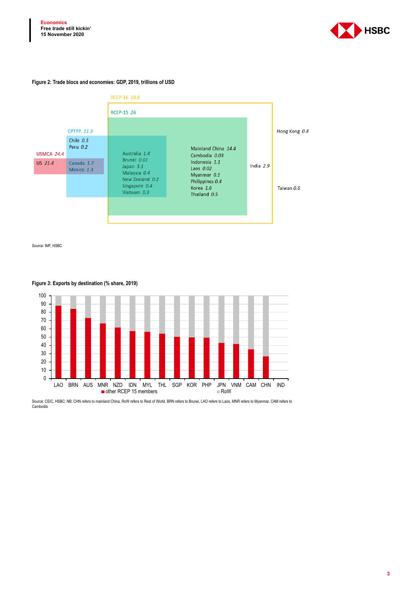

#### **Figure 2: Trade blocs and economies: GDP, 2019, trillions of USD**



Source: IMF, HSBC



#### **Figure 3: Exports by destination (% share, 2019)**

Source: CEIC, HSBC; NB: CHN refers to mainland China, RoW refers to Rest of World, BRN refers to Brunei, LAO refers to Laos, MNR refers to Myanmar, CAM refers to Cambodia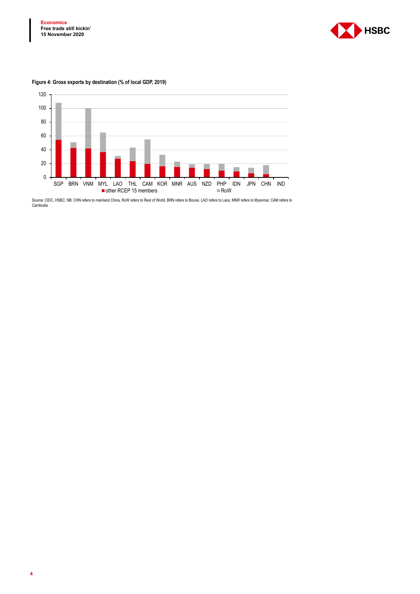

#### **Figure 4: Gross exports by destination (% of local GDP, 2019)**



Source: CEIC, HSBC; NB: CHN refers to mainland China, RoW refers to Rest of World, BRN refers to Brunei, LAO refers to Laos, MNR refers to Myanmar, CAM refers to Cambodia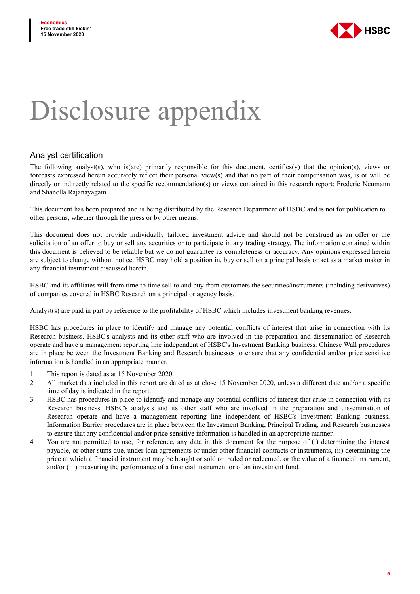

# Disclosure appendix

#### Analyst certification

The following analyst(s), who is(are) primarily responsible for this document, certifies(y) that the opinion(s), views or forecasts expressed herein accurately reflect their personal view(s) and that no part of their compensation was, is or will be directly or indirectly related to the specific recommendation(s) or views contained in this research report: Frederic Neumann and Shanella Rajanayagam

This document has been prepared and is being distributed by the Research Department of HSBC and is not for publication to other persons, whether through the press or by other means.

This document does not provide individually tailored investment advice and should not be construed as an offer or the solicitation of an offer to buy or sell any securities or to participate in any trading strategy. The information contained within this document is believed to be reliable but we do not guarantee its completeness or accuracy. Any opinions expressed herein are subject to change without notice. HSBC may hold a position in, buy or sell on a principal basis or act as a market maker in any financial instrument discussed herein.

HSBC and its affiliates will from time to time sell to and buy from customers the securities/instruments (including derivatives) of companies covered in HSBC Research on a principal or agency basis.

Analyst(s) are paid in part by reference to the profitability of HSBC which includes investment banking revenues.

HSBC has procedures in place to identify and manage any potential conflicts of interest that arise in connection with its Research business. HSBC's analysts and its other staff who are involved in the preparation and dissemination of Research operate and have a management reporting line independent of HSBC's Investment Banking business. Chinese Wall procedures are in place between the Investment Banking and Research businesses to ensure that any confidential and/or price sensitive information is handled in an appropriate manner.

- 1 This report is dated as at 15 November 2020.
- 2 All market data included in this report are dated as at close 15 November 2020, unless a different date and/or a specific time of day is indicated in the report.
- 3 HSBC has procedures in place to identify and manage any potential conflicts of interest that arise in connection with its Research business. HSBC's analysts and its other staff who are involved in the preparation and dissemination of Research operate and have a management reporting line independent of HSBC's Investment Banking business. Information Barrier procedures are in place between the Investment Banking, Principal Trading, and Research businesses to ensure that any confidential and/or price sensitive information is handled in an appropriate manner.
- 4 You are not permitted to use, for reference, any data in this document for the purpose of (i) determining the interest payable, or other sums due, under loan agreements or under other financial contracts or instruments, (ii) determining the price at which a financial instrument may be bought or sold or traded or redeemed, or the value of a financial instrument, and/or (iii) measuring the performance of a financial instrument or of an investment fund.